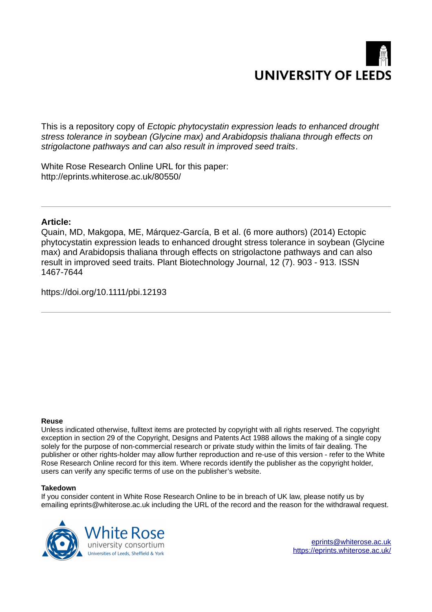

This is a repository copy of *Ectopic phytocystatin expression leads to enhanced drought stress tolerance in soybean (Glycine max) and Arabidopsis thaliana through effects on strigolactone pathways and can also result in improved seed traits*.

White Rose Research Online URL for this paper: http://eprints.whiterose.ac.uk/80550/

# **Article:**

Quain, MD, Makgopa, ME, Márquez-García, B et al. (6 more authors) (2014) Ectopic phytocystatin expression leads to enhanced drought stress tolerance in soybean (Glycine max) and Arabidopsis thaliana through effects on strigolactone pathways and can also result in improved seed traits. Plant Biotechnology Journal, 12 (7). 903 - 913. ISSN 1467-7644

https://doi.org/10.1111/pbi.12193

#### **Reuse**

Unless indicated otherwise, fulltext items are protected by copyright with all rights reserved. The copyright exception in section 29 of the Copyright, Designs and Patents Act 1988 allows the making of a single copy solely for the purpose of non-commercial research or private study within the limits of fair dealing. The publisher or other rights-holder may allow further reproduction and re-use of this version - refer to the White Rose Research Online record for this item. Where records identify the publisher as the copyright holder, users can verify any specific terms of use on the publisher's website.

#### **Takedown**

If you consider content in White Rose Research Online to be in breach of UK law, please notify us by emailing eprints@whiterose.ac.uk including the URL of the record and the reason for the withdrawal request.

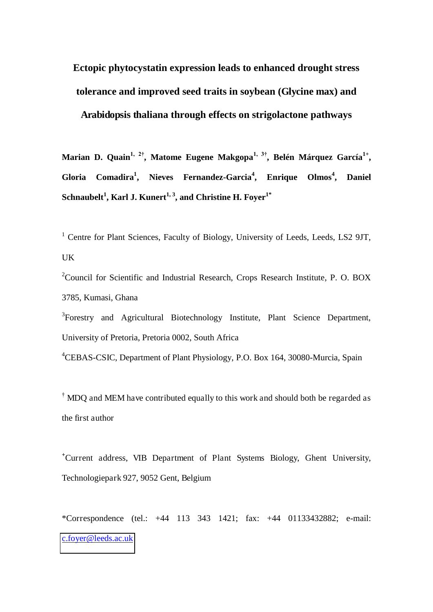# **Ectopic phytocystatin expression leads to enhanced drought stress tolerance and improved seed traits in soybean (Glycine max) and Arabidopsis thaliana through effects on strigolactone pathways**

**Marian D. Quain1, 2†, Matome Eugene Makgopa1, 3†, Belén Márquez García1+ , Gloria Comadira<sup>1</sup> , Nieves Fernandez-Garcia<sup>4</sup> , Enrique Olmos<sup>4</sup> , Daniel Schnaubelt<sup>1</sup> , Karl J. Kunert1, 3, and Christine H. Foyer1\***

<sup>1</sup> Centre for Plant Sciences, Faculty of Biology, University of Leeds, Leeds, LS2 9JT, UK

<sup>2</sup>Council for Scientific and Industrial Research, Crops Research Institute, P. O. BOX 3785, Kumasi, Ghana

<sup>3</sup>Forestry and Agricultural Biotechnology Institute, Plant Science Department, University of Pretoria, Pretoria 0002, South Africa

<sup>4</sup>CEBAS-CSIC, Department of Plant Physiology, P.O. Box 164, 30080-Murcia, Spain

 $\dagger$  MDQ and MEM have contributed equally to this work and should both be regarded as the first author

**<sup>+</sup>**Current address, VIB Department of Plant Systems Biology, Ghent University, Technologiepark 927, 9052 Gent, Belgium

\*Correspondence (tel.: +44 113 343 1421; fax: +44 01133432882; e-mail: [c.foyer@leeds.ac.uk](mailto:c.foyer@leeds.ac.uk)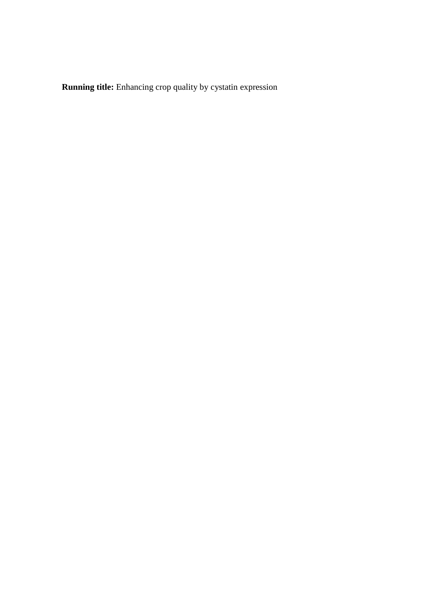**Running title:** Enhancing crop quality by cystatin expression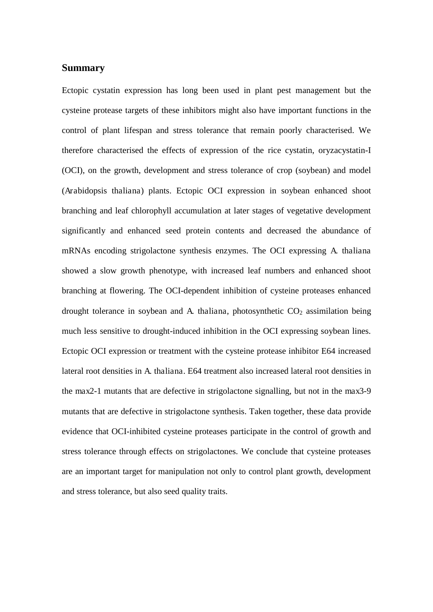# **Summary**

Ectopic cystatin expression has long been used in plant pest management but the cysteine protease targets of these inhibitors might also have important functions in the control of plant lifespan and stress tolerance that remain poorly characterised. We therefore characterised the effects of expression of the rice cystatin, oryzacystatin-I (OCI), on the growth, development and stress tolerance of crop (soybean) and model (Arabidopsis thaliana) plants. Ectopic OCI expression in soybean enhanced shoot branching and leaf chlorophyll accumulation at later stages of vegetative development significantly and enhanced seed protein contents and decreased the abundance of mRNAs encoding strigolactone synthesis enzymes. The OCI expressing A. thaliana showed a slow growth phenotype, with increased leaf numbers and enhanced shoot branching at flowering. The OCI-dependent inhibition of cysteine proteases enhanced drought tolerance in soybean and A. thaliana, photosynthetic  $CO<sub>2</sub>$  assimilation being much less sensitive to drought-induced inhibition in the OCI expressing soybean lines. Ectopic OCI expression or treatment with the cysteine protease inhibitor E64 increased lateral root densities in A. thaliana. E64 treatment also increased lateral root densities in the max2-1 mutants that are defective in strigolactone signalling, but not in the max3-9 mutants that are defective in strigolactone synthesis. Taken together, these data provide evidence that OCI-inhibited cysteine proteases participate in the control of growth and stress tolerance through effects on strigolactones. We conclude that cysteine proteases are an important target for manipulation not only to control plant growth, development and stress tolerance, but also seed quality traits.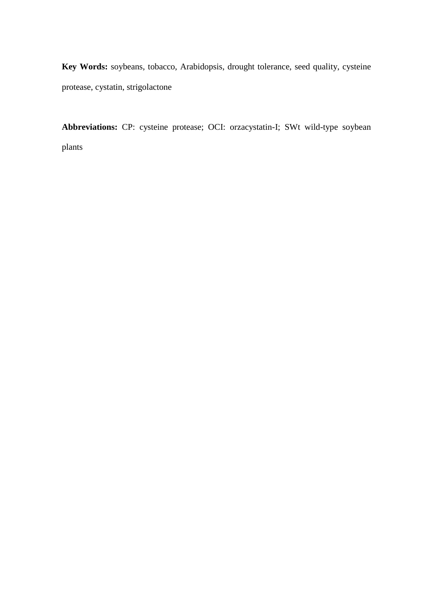**Key Words:** soybeans, tobacco, Arabidopsis, drought tolerance, seed quality, cysteine protease, cystatin, strigolactone

**Abbreviations:** CP: cysteine protease; OCI: orzacystatin-I; SWt wild-type soybean plants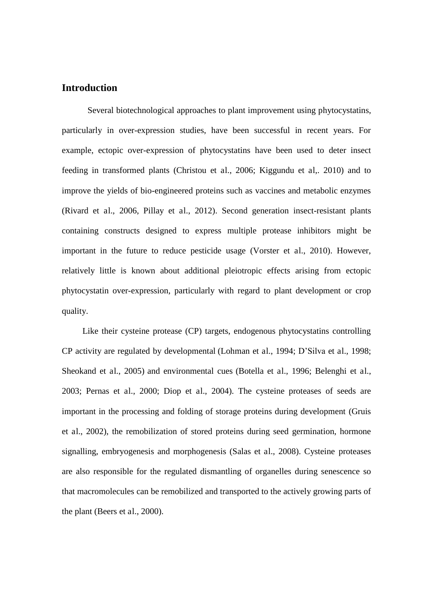# **Introduction**

Several biotechnological approaches to plant improvement using phytocystatins, particularly in over-expression studies, have been successful in recent years. For example, ectopic over-expression of phytocystatins have been used to deter insect feeding in transformed plants (Christou et al., 2006; Kiggundu et al,. 2010) and to improve the yields of bio-engineered proteins such as vaccines and metabolic enzymes (Rivard et al., 2006, Pillay et al., 2012). Second generation insect-resistant plants containing constructs designed to express multiple protease inhibitors might be important in the future to reduce pesticide usage (Vorster et al., 2010). However, relatively little is known about additional pleiotropic effects arising from ectopic phytocystatin over-expression, particularly with regard to plant development or crop quality.

 Like their cysteine protease (CP) targets, endogenous phytocystatins controlling CP activity are regulated by developmental (Lohman et al., 1994; D'Silva et al., 1998; Sheokand et al., 2005) and environmental cues (Botella et al., 1996; Belenghi et al., 2003; Pernas et al., 2000; Diop et al., 2004). The cysteine proteases of seeds are important in the processing and folding of storage proteins during development (Gruis et al., 2002), the remobilization of stored proteins during seed germination, hormone signalling, embryogenesis and morphogenesis (Salas et al., 2008). Cysteine proteases are also responsible for the regulated dismantling of organelles during senescence so that macromolecules can be remobilized and transported to the actively growing parts of the plant (Beers et al., 2000).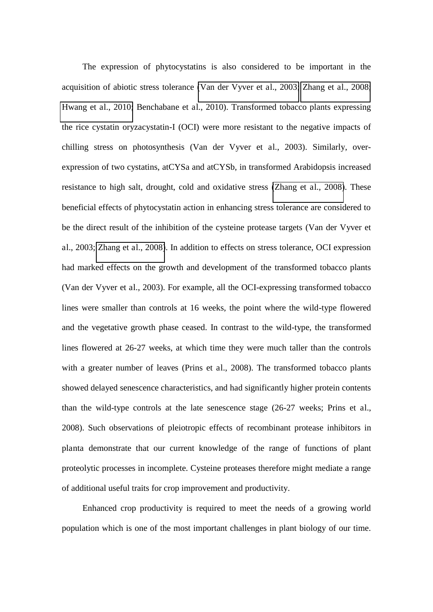The expression of phytocystatins is also considered to be important in the acquisition of abiotic stress tolerance [\(Van der Vyver et al., 2003;](file:///C:/Users/fbskk/AppData/Local/Microsoft/Windows/Temporary%20Internet%20Files/Content.Outlook/DAQ8MS1I/Quain%20et%20al%20%20%20text%20%20Plant%20Biotech%20KK%20edit.doc%23_ENREF_103) [Zhang et al., 2008;](file:///C:/Users/fbskk/AppData/Local/Microsoft/Windows/Temporary%20Internet%20Files/Content.Outlook/DAQ8MS1I/Quain%20et%20al%20%20%20text%20%20Plant%20Biotech%20KK%20edit.doc%23_ENREF_111) [Hwang et al., 2010;](file:///C:/Users/fbskk/AppData/Local/Microsoft/Windows/Temporary%20Internet%20Files/Content.Outlook/DAQ8MS1I/Quain%20et%20al%20%20%20text%20%20Plant%20Biotech%20KK%20edit.doc%23_ENREF_45) Benchabane et al., 2010). Transformed tobacco plants expressing the rice cystatin oryzacystatin-I (OCI) were more resistant to the negative impacts of chilling stress on photosynthesis (Van der Vyver et al., 2003). Similarly, overexpression of two cystatins, atCYSa and atCYSb, in transformed Arabidopsis increased resistance to high salt, drought, cold and oxidative stress [\(Zhang et al., 2008\)](file:///C:/Users/fbskk/AppData/Local/Microsoft/Windows/Temporary%20Internet%20Files/Content.Outlook/DAQ8MS1I/Quain%20et%20al%20%20%20text%20%20Plant%20Biotech%20KK%20edit.doc%23_ENREF_111). These beneficial effects of phytocystatin action in enhancing stress tolerance are considered to be the direct result of the inhibition of the cysteine protease targets (Van der Vyver et al., 2003; [Zhang et al., 2008\)](file:///C:/Users/fbskk/AppData/Local/Microsoft/Windows/Temporary%20Internet%20Files/Content.Outlook/DAQ8MS1I/Quain%20et%20al%20%20%20text%20%20Plant%20Biotech%20KK%20edit.doc%23_ENREF_111). In addition to effects on stress tolerance, OCI expression had marked effects on the growth and development of the transformed tobacco plants (Van der Vyver et al., 2003). For example, all the OCI-expressing transformed tobacco lines were smaller than controls at 16 weeks, the point where the wild-type flowered and the vegetative growth phase ceased. In contrast to the wild-type, the transformed lines flowered at 26-27 weeks, at which time they were much taller than the controls with a greater number of leaves (Prins et al., 2008). The transformed tobacco plants showed delayed senescence characteristics, and had significantly higher protein contents than the wild-type controls at the late senescence stage (26-27 weeks; Prins et al., 2008). Such observations of pleiotropic effects of recombinant protease inhibitors in planta demonstrate that our current knowledge of the range of functions of plant proteolytic processes in incomplete. Cysteine proteases therefore might mediate a range of additional useful traits for crop improvement and productivity.

 Enhanced crop productivity is required to meet the needs of a growing world population which is one of the most important challenges in plant biology of our time.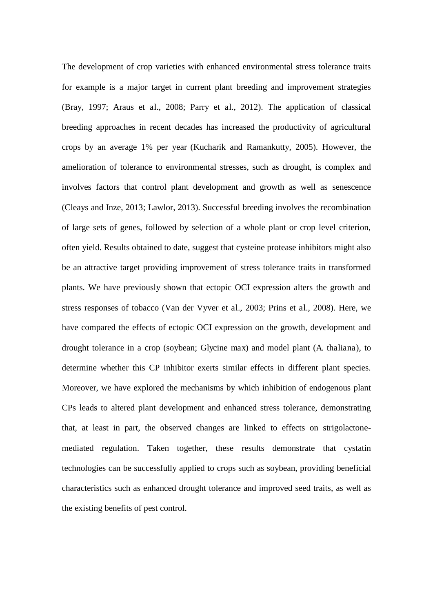The development of crop varieties with enhanced environmental stress tolerance traits for example is a major target in current plant breeding and improvement strategies (Bray, 1997; Araus et al., 2008; Parry et al., 2012). The application of classical breeding approaches in recent decades has increased the productivity of agricultural crops by an average 1% per year (Kucharik and Ramankutty, 2005). However, the amelioration of tolerance to environmental stresses, such as drought, is complex and involves factors that control plant development and growth as well as senescence (Cleays and Inze, 2013; Lawlor, 2013). Successful breeding involves the recombination of large sets of genes, followed by selection of a whole plant or crop level criterion, often yield. Results obtained to date, suggest that cysteine protease inhibitors might also be an attractive target providing improvement of stress tolerance traits in transformed plants. We have previously shown that ectopic OCI expression alters the growth and stress responses of tobacco (Van der Vyver et al., 2003; Prins et al., 2008). Here, we have compared the effects of ectopic OCI expression on the growth, development and drought tolerance in a crop (soybean; Glycine max) and model plant (A. thaliana), to determine whether this CP inhibitor exerts similar effects in different plant species. Moreover, we have explored the mechanisms by which inhibition of endogenous plant CPs leads to altered plant development and enhanced stress tolerance, demonstrating that, at least in part, the observed changes are linked to effects on strigolactonemediated regulation. Taken together, these results demonstrate that cystatin technologies can be successfully applied to crops such as soybean, providing beneficial characteristics such as enhanced drought tolerance and improved seed traits, as well as the existing benefits of pest control.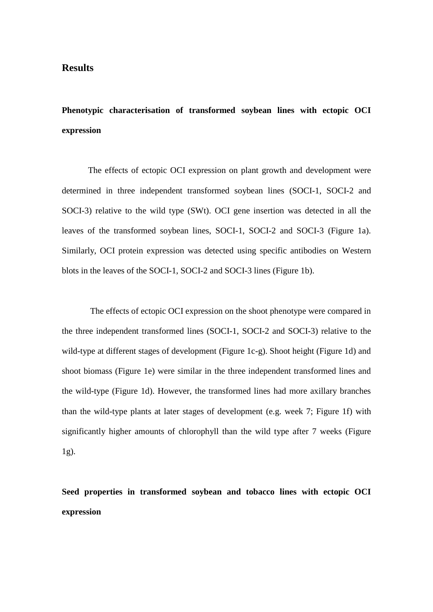# **Results**

**Phenotypic characterisation of transformed soybean lines with ectopic OCI expression** 

The effects of ectopic OCI expression on plant growth and development were determined in three independent transformed soybean lines (SOCI-1, SOCI-2 and SOCI-3) relative to the wild type (SWt). OCI gene insertion was detected in all the leaves of the transformed soybean lines, SOCI-1, SOCI-2 and SOCI-3 (Figure 1a). Similarly, OCI protein expression was detected using specific antibodies on Western blots in the leaves of the SOCI-1, SOCI-2 and SOCI-3 lines (Figure 1b).

 The effects of ectopic OCI expression on the shoot phenotype were compared in the three independent transformed lines (SOCI-1, SOCI-2 and SOCI-3) relative to the wild-type at different stages of development (Figure 1c-g). Shoot height (Figure 1d) and shoot biomass (Figure 1e) were similar in the three independent transformed lines and the wild-type (Figure 1d). However, the transformed lines had more axillary branches than the wild-type plants at later stages of development (e.g. week 7; Figure 1f) with significantly higher amounts of chlorophyll than the wild type after 7 weeks (Figure 1g).

**Seed properties in transformed soybean and tobacco lines with ectopic OCI expression**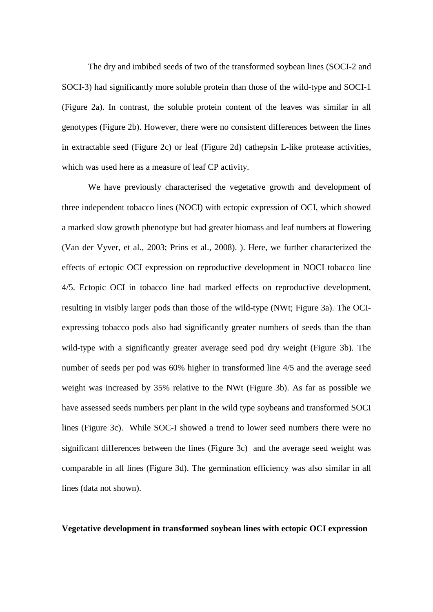The dry and imbibed seeds of two of the transformed soybean lines (SOCI-2 and SOCI-3) had significantly more soluble protein than those of the wild-type and SOCI-1 (Figure 2a). In contrast, the soluble protein content of the leaves was similar in all genotypes (Figure 2b). However, there were no consistent differences between the lines in extractable seed (Figure 2c) or leaf (Figure 2d) cathepsin L-like protease activities, which was used here as a measure of leaf CP activity.

We have previously characterised the vegetative growth and development of three independent tobacco lines (NOCI) with ectopic expression of OCI, which showed a marked slow growth phenotype but had greater biomass and leaf numbers at flowering (Van der Vyver, et al., 2003; Prins et al., 2008). ). Here, we further characterized the effects of ectopic OCI expression on reproductive development in NOCI tobacco line 4/5. Ectopic OCI in tobacco line had marked effects on reproductive development, resulting in visibly larger pods than those of the wild-type (NWt; Figure 3a). The OCIexpressing tobacco pods also had significantly greater numbers of seeds than the than wild-type with a significantly greater average seed pod dry weight (Figure 3b). The number of seeds per pod was 60% higher in transformed line 4/5 and the average seed weight was increased by 35% relative to the NWt (Figure 3b). As far as possible we have assessed seeds numbers per plant in the wild type soybeans and transformed SOCI lines (Figure 3c). While SOC-I showed a trend to lower seed numbers there were no significant differences between the lines (Figure 3c) and the average seed weight was comparable in all lines (Figure 3d). The germination efficiency was also similar in all lines (data not shown).

# **Vegetative development in transformed soybean lines with ectopic OCI expression**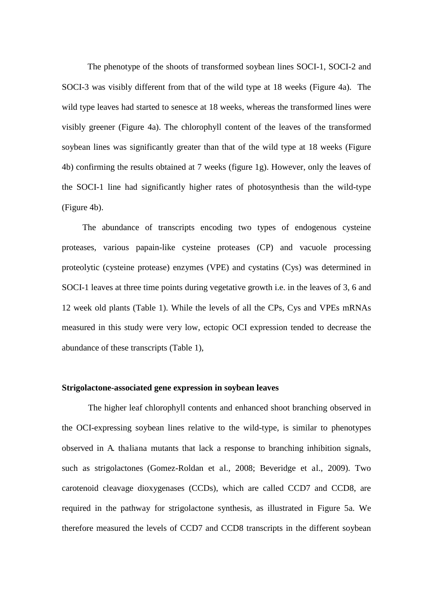The phenotype of the shoots of transformed soybean lines SOCI-1, SOCI-2 and SOCI-3 was visibly different from that of the wild type at 18 weeks (Figure 4a). The wild type leaves had started to senesce at 18 weeks, whereas the transformed lines were visibly greener (Figure 4a). The chlorophyll content of the leaves of the transformed soybean lines was significantly greater than that of the wild type at 18 weeks (Figure 4b) confirming the results obtained at 7 weeks (figure 1g). However, only the leaves of the SOCI-1 line had significantly higher rates of photosynthesis than the wild-type (Figure 4b).

 The abundance of transcripts encoding two types of endogenous cysteine proteases, various papain-like cysteine proteases (CP) and vacuole processing proteolytic (cysteine protease) enzymes (VPE) and cystatins (Cys) was determined in SOCI-1 leaves at three time points during vegetative growth i.e. in the leaves of 3, 6 and 12 week old plants (Table 1). While the levels of all the CPs, Cys and VPEs mRNAs measured in this study were very low, ectopic OCI expression tended to decrease the abundance of these transcripts (Table 1),

### **Strigolactone-associated gene expression in soybean leaves**

The higher leaf chlorophyll contents and enhanced shoot branching observed in the OCI-expressing soybean lines relative to the wild-type, is similar to phenotypes observed in A. thaliana mutants that lack a response to branching inhibition signals, such as strigolactones (Gomez-Roldan et al., 2008; Beveridge et al., 2009). Two carotenoid cleavage dioxygenases (CCDs), which are called CCD7 and CCD8, are required in the pathway for strigolactone synthesis, as illustrated in Figure 5a. We therefore measured the levels of CCD7 and CCD8 transcripts in the different soybean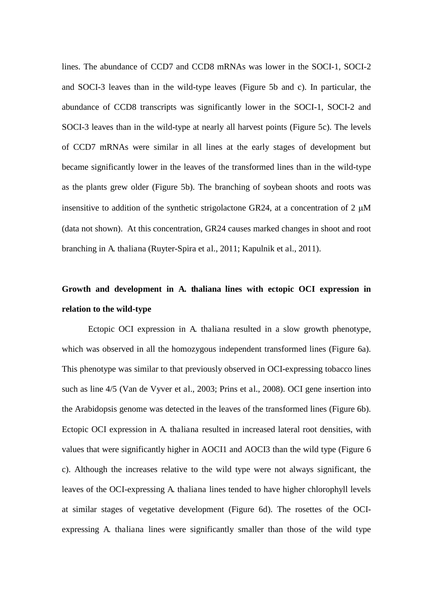lines. The abundance of CCD7 and CCD8 mRNAs was lower in the SOCI-1, SOCI-2 and SOCI-3 leaves than in the wild-type leaves (Figure 5b and c). In particular, the abundance of CCD8 transcripts was significantly lower in the SOCI-1, SOCI-2 and SOCI-3 leaves than in the wild-type at nearly all harvest points (Figure 5c). The levels of CCD7 mRNAs were similar in all lines at the early stages of development but became significantly lower in the leaves of the transformed lines than in the wild-type as the plants grew older (Figure 5b). The branching of soybean shoots and roots was insensitive to addition of the synthetic strigolactone GR24, at a concentration of  $2 \mu M$ (data not shown). At this concentration, GR24 causes marked changes in shoot and root branching in A. thaliana (Ruyter-Spira et al., 2011; Kapulnik et al., 2011).

# **Growth and development in A. thaliana lines with ectopic OCI expression in relation to the wild-type**

Ectopic OCI expression in A. thaliana resulted in a slow growth phenotype, which was observed in all the homozygous independent transformed lines (Figure 6a). This phenotype was similar to that previously observed in OCI-expressing tobacco lines such as line 4/5 (Van de Vyver et al., 2003; Prins et al., 2008). OCI gene insertion into the Arabidopsis genome was detected in the leaves of the transformed lines (Figure 6b). Ectopic OCI expression in A. thaliana resulted in increased lateral root densities, with values that were significantly higher in AOCI1 and AOCI3 than the wild type (Figure 6 c). Although the increases relative to the wild type were not always significant, the leaves of the OCI-expressing A. thaliana lines tended to have higher chlorophyll levels at similar stages of vegetative development (Figure 6d). The rosettes of the OCIexpressing A. thaliana lines were significantly smaller than those of the wild type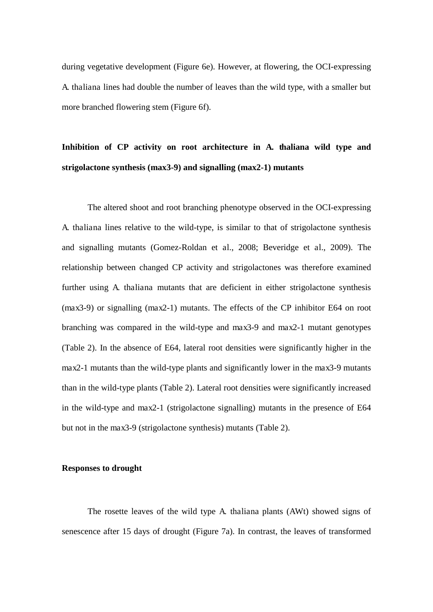during vegetative development (Figure 6e). However, at flowering, the OCI-expressing A. thaliana lines had double the number of leaves than the wild type, with a smaller but more branched flowering stem (Figure 6f).

# **Inhibition of CP activity on root architecture in A. thaliana wild type and strigolactone synthesis (max3-9) and signalling (max2-1) mutants**

The altered shoot and root branching phenotype observed in the OCI-expressing A. thaliana lines relative to the wild-type, is similar to that of strigolactone synthesis and signalling mutants (Gomez-Roldan et al., 2008; Beveridge et al., 2009). The relationship between changed CP activity and strigolactones was therefore examined further using A. thaliana mutants that are deficient in either strigolactone synthesis (max3-9) or signalling (max2-1) mutants. The effects of the CP inhibitor E64 on root branching was compared in the wild-type and max3-9 and max2-1 mutant genotypes (Table 2). In the absence of E64, lateral root densities were significantly higher in the max2-1 mutants than the wild-type plants and significantly lower in the max3-9 mutants than in the wild-type plants (Table 2). Lateral root densities were significantly increased in the wild-type and max2-1 (strigolactone signalling) mutants in the presence of E64 but not in the max3-9 (strigolactone synthesis) mutants (Table 2).

# **Responses to drought**

The rosette leaves of the wild type A. thaliana plants (AWt) showed signs of senescence after 15 days of drought (Figure 7a). In contrast, the leaves of transformed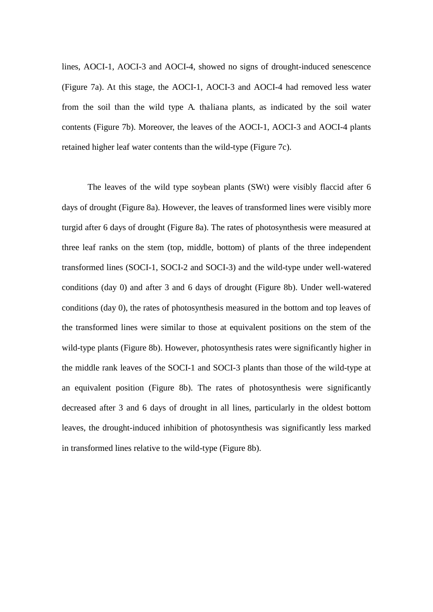lines, AOCI-1, AOCI-3 and AOCI-4, showed no signs of drought-induced senescence (Figure 7a). At this stage, the AOCI-1, AOCI-3 and AOCI-4 had removed less water from the soil than the wild type A. thaliana plants, as indicated by the soil water contents (Figure 7b). Moreover, the leaves of the AOCI-1, AOCI-3 and AOCI-4 plants retained higher leaf water contents than the wild-type (Figure 7c).

The leaves of the wild type soybean plants (SWt) were visibly flaccid after 6 days of drought (Figure 8a). However, the leaves of transformed lines were visibly more turgid after 6 days of drought (Figure 8a). The rates of photosynthesis were measured at three leaf ranks on the stem (top, middle, bottom) of plants of the three independent transformed lines (SOCI-1, SOCI-2 and SOCI-3) and the wild-type under well-watered conditions (day 0) and after 3 and 6 days of drought (Figure 8b). Under well-watered conditions (day 0), the rates of photosynthesis measured in the bottom and top leaves of the transformed lines were similar to those at equivalent positions on the stem of the wild-type plants (Figure 8b). However, photosynthesis rates were significantly higher in the middle rank leaves of the SOCI-1 and SOCI-3 plants than those of the wild-type at an equivalent position (Figure 8b). The rates of photosynthesis were significantly decreased after 3 and 6 days of drought in all lines, particularly in the oldest bottom leaves, the drought-induced inhibition of photosynthesis was significantly less marked in transformed lines relative to the wild-type (Figure 8b).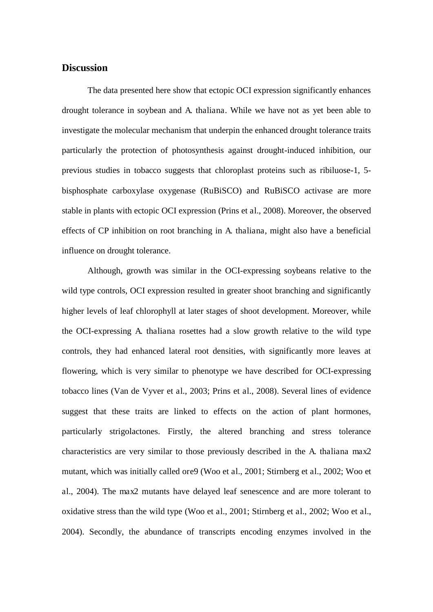# **Discussion**

The data presented here show that ectopic OCI expression significantly enhances drought tolerance in soybean and A. thaliana. While we have not as yet been able to investigate the molecular mechanism that underpin the enhanced drought tolerance traits particularly the protection of photosynthesis against drought-induced inhibition, our previous studies in tobacco suggests that chloroplast proteins such as ribiluose-1, 5 bisphosphate carboxylase oxygenase (RuBiSCO) and RuBiSCO activase are more stable in plants with ectopic OCI expression (Prins et al., 2008). Moreover, the observed effects of CP inhibition on root branching in A. thaliana, might also have a beneficial influence on drought tolerance.

Although, growth was similar in the OCI-expressing soybeans relative to the wild type controls, OCI expression resulted in greater shoot branching and significantly higher levels of leaf chlorophyll at later stages of shoot development. Moreover, while the OCI-expressing A. thaliana rosettes had a slow growth relative to the wild type controls, they had enhanced lateral root densities, with significantly more leaves at flowering, which is very similar to phenotype we have described for OCI-expressing tobacco lines (Van de Vyver et al., 2003; Prins et al., 2008). Several lines of evidence suggest that these traits are linked to effects on the action of plant hormones, particularly strigolactones. Firstly, the altered branching and stress tolerance characteristics are very similar to those previously described in the A. thaliana max2 mutant, which was initially called ore9 (Woo et al., 2001; Stirnberg et al., 2002; Woo et al., 2004). The max2 mutants have delayed leaf senescence and are more tolerant to oxidative stress than the wild type (Woo et al., 2001; Stirnberg et al., 2002; Woo et al., 2004). Secondly, the abundance of transcripts encoding enzymes involved in the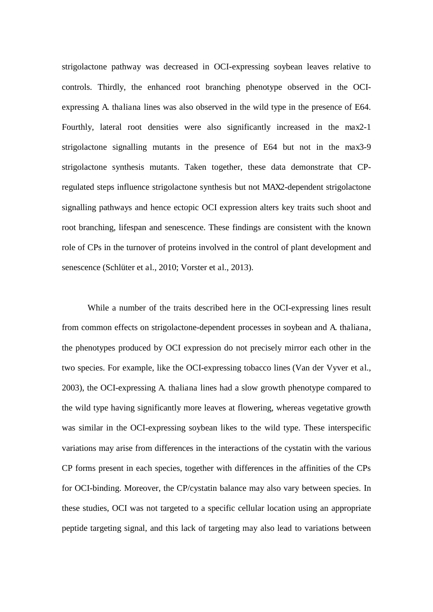strigolactone pathway was decreased in OCI-expressing soybean leaves relative to controls. Thirdly, the enhanced root branching phenotype observed in the OCIexpressing A. thaliana lines was also observed in the wild type in the presence of E64. Fourthly, lateral root densities were also significantly increased in the max2-1 strigolactone signalling mutants in the presence of E64 but not in the max3-9 strigolactone synthesis mutants. Taken together, these data demonstrate that CPregulated steps influence strigolactone synthesis but not MAX2-dependent strigolactone signalling pathways and hence ectopic OCI expression alters key traits such shoot and root branching, lifespan and senescence. These findings are consistent with the known role of CPs in the turnover of proteins involved in the control of plant development and senescence (Schlüter et al., 2010; Vorster et al., 2013).

While a number of the traits described here in the OCI-expressing lines result from common effects on strigolactone-dependent processes in soybean and A. thaliana, the phenotypes produced by OCI expression do not precisely mirror each other in the two species. For example, like the OCI-expressing tobacco lines (Van der Vyver et al., 2003), the OCI-expressing A. thaliana lines had a slow growth phenotype compared to the wild type having significantly more leaves at flowering, whereas vegetative growth was similar in the OCI-expressing soybean likes to the wild type. These interspecific variations may arise from differences in the interactions of the cystatin with the various CP forms present in each species, together with differences in the affinities of the CPs for OCI-binding. Moreover, the CP/cystatin balance may also vary between species. In these studies, OCI was not targeted to a specific cellular location using an appropriate peptide targeting signal, and this lack of targeting may also lead to variations between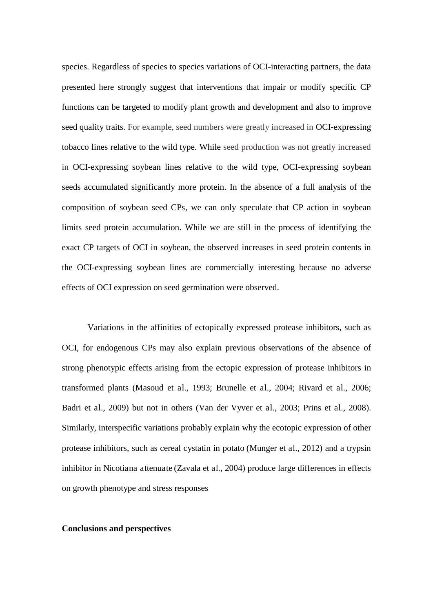species. Regardless of species to species variations of OCI-interacting partners, the data presented here strongly suggest that interventions that impair or modify specific CP functions can be targeted to modify plant growth and development and also to improve seed quality traits. For example, seed numbers were greatly increased in OCI-expressing tobacco lines relative to the wild type. While seed production was not greatly increased in OCI-expressing soybean lines relative to the wild type, OCI-expressing soybean seeds accumulated significantly more protein. In the absence of a full analysis of the composition of soybean seed CPs, we can only speculate that CP action in soybean limits seed protein accumulation. While we are still in the process of identifying the exact CP targets of OCI in soybean, the observed increases in seed protein contents in the OCI-expressing soybean lines are commercially interesting because no adverse effects of OCI expression on seed germination were observed.

Variations in the affinities of ectopically expressed protease inhibitors, such as OCI, for endogenous CPs may also explain previous observations of the absence of strong phenotypic effects arising from the ectopic expression of protease inhibitors in transformed plants (Masoud et al., 1993; Brunelle et al., 2004; Rivard et al., 2006; Badri et al., 2009) but not in others (Van der Vyver et al., 2003; Prins et al., 2008). Similarly, interspecific variations probably explain why the ecotopic expression of other protease inhibitors, such as cereal cystatin in potato (Munger et al., 2012) and a trypsin inhibitor in Nicotiana attenuate (Zavala et al., 2004) produce large differences in effects on growth phenotype and stress responses

#### **Conclusions and perspectives**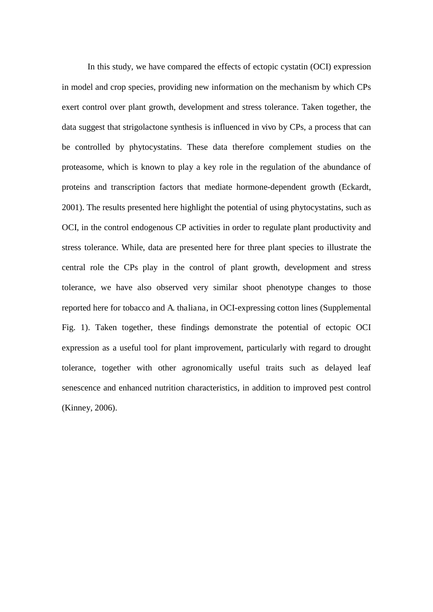In this study, we have compared the effects of ectopic cystatin (OCI) expression in model and crop species, providing new information on the mechanism by which CPs exert control over plant growth, development and stress tolerance. Taken together, the data suggest that strigolactone synthesis is influenced in vivo by CPs, a process that can be controlled by phytocystatins. These data therefore complement studies on the proteasome, which is known to play a key role in the regulation of the abundance of proteins and transcription factors that mediate hormone-dependent growth (Eckardt, 2001). The results presented here highlight the potential of using phytocystatins, such as OCI, in the control endogenous CP activities in order to regulate plant productivity and stress tolerance. While, data are presented here for three plant species to illustrate the central role the CPs play in the control of plant growth, development and stress tolerance, we have also observed very similar shoot phenotype changes to those reported here for tobacco and A. thaliana, in OCI-expressing cotton lines (Supplemental Fig. 1). Taken together, these findings demonstrate the potential of ectopic OCI expression as a useful tool for plant improvement, particularly with regard to drought tolerance, together with other agronomically useful traits such as delayed leaf senescence and enhanced nutrition characteristics, in addition to improved pest control (Kinney, 2006).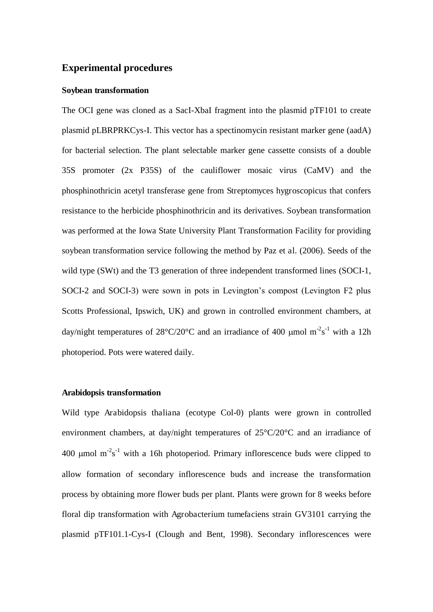# **Experimental procedures**

#### **Soybean transformation**

The OCI gene was cloned as a SacI-XbaI fragment into the plasmid pTF101 to create plasmid pLBRPRKCys-I. This vector has a spectinomycin resistant marker gene (aadA) for bacterial selection. The plant selectable marker gene cassette consists of a double 35S promoter (2x P35S) of the cauliflower mosaic virus (CaMV) and the phosphinothricin acetyl transferase gene from Streptomyces hygroscopicus that confers resistance to the herbicide phosphinothricin and its derivatives. Soybean transformation was performed at the Iowa State University Plant Transformation Facility for providing soybean transformation service following the method by Paz et al. (2006). Seeds of the wild type (SWt) and the T3 generation of three independent transformed lines (SOCI-1, SOCI-2 and SOCI-3) were sown in pots in Levington's compost (Levington F2 plus Scotts Professional, Ipswich, UK) and grown in controlled environment chambers, at day/night temperatures of  $28^{\circ}C/20^{\circ}C$  and an irradiance of 400 µmol m<sup>-2</sup>s<sup>-1</sup> with a 12h photoperiod. Pots were watered daily.

#### **Arabidopsis transformation**

Wild type Arabidopsis thaliana (ecotype Col-0) plants were grown in controlled environment chambers, at day/night temperatures of 25°C/20°C and an irradiance of 400  $\mu$ mol m<sup>-2</sup>s<sup>-1</sup> with a 16h photoperiod. Primary inflorescence buds were clipped to allow formation of secondary inflorescence buds and increase the transformation process by obtaining more flower buds per plant. Plants were grown for 8 weeks before floral dip transformation with Agrobacterium tumefaciens strain GV3101 carrying the plasmid pTF101.1-Cys-I (Clough and Bent, 1998). Secondary inflorescences were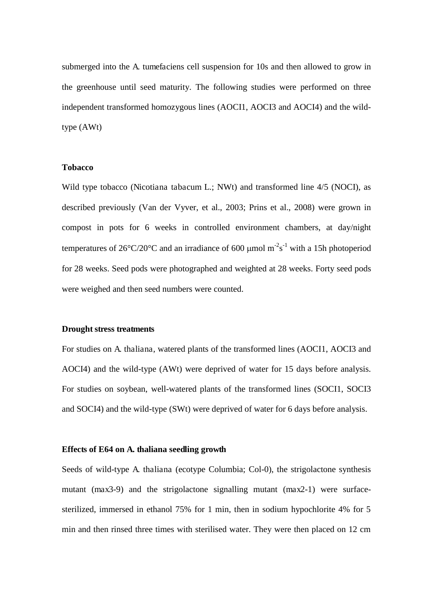submerged into the A. tumefaciens cell suspension for 10s and then allowed to grow in the greenhouse until seed maturity. The following studies were performed on three independent transformed homozygous lines (AOCI1, AOCI3 and AOCI4) and the wildtype (AWt)

### **Tobacco**

Wild type tobacco (Nicotiana tabacum L.; NWt) and transformed line  $4/5$  (NOCI), as described previously (Van der Vyver, et al., 2003; Prins et al., 2008) were grown in compost in pots for 6 weeks in controlled environment chambers, at day/night temperatures of  $26^{\circ}C/20^{\circ}C$  and an irradiance of 600 µmol m<sup>-2</sup>s<sup>-1</sup> with a 15h photoperiod for 28 weeks. Seed pods were photographed and weighted at 28 weeks. Forty seed pods were weighed and then seed numbers were counted.

#### **Drought stress treatments**

For studies on A. thaliana, watered plants of the transformed lines (AOCI1, AOCI3 and AOCI4) and the wild-type (AWt) were deprived of water for 15 days before analysis. For studies on soybean, well-watered plants of the transformed lines (SOCI1, SOCI3 and SOCI4) and the wild-type (SWt) were deprived of water for 6 days before analysis.

# **Effects of E64 on A. thaliana seedling growth**

Seeds of wild-type A. thaliana (ecotype Columbia; Col-0), the strigolactone synthesis mutant (max3-9) and the strigolactone signalling mutant (max2-1) were surfacesterilized, immersed in ethanol 75% for 1 min, then in sodium hypochlorite 4% for 5 min and then rinsed three times with sterilised water. They were then placed on 12 cm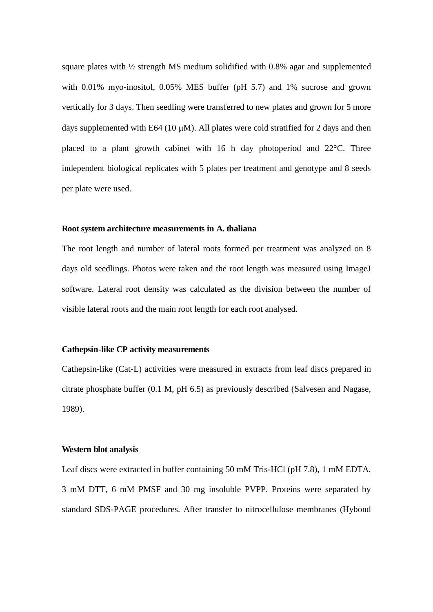square plates with ½ strength MS medium solidified with 0.8% agar and supplemented with 0.01% myo-inositol, 0.05% MES buffer (pH 5.7) and 1% sucrose and grown vertically for 3 days. Then seedling were transferred to new plates and grown for 5 more days supplemented with E64 (10  $\mu$ M). All plates were cold stratified for 2 days and then placed to a plant growth cabinet with 16 h day photoperiod and 22°C. Three independent biological replicates with 5 plates per treatment and genotype and 8 seeds per plate were used.

#### **Root system architecture measurements in A. thaliana**

The root length and number of lateral roots formed per treatment was analyzed on 8 days old seedlings. Photos were taken and the root length was measured using ImageJ software. Lateral root density was calculated as the division between the number of visible lateral roots and the main root length for each root analysed.

# **Cathepsin-like CP activity measurements**

Cathepsin-like (Cat-L) activities were measured in extracts from leaf discs prepared in citrate phosphate buffer (0.1 M, pH 6.5) as previously described (Salvesen and Nagase, 1989).

# **Western blot analysis**

Leaf discs were extracted in buffer containing 50 mM Tris-HCl (pH 7.8), 1 mM EDTA, 3 mM DTT, 6 mM PMSF and 30 mg insoluble PVPP. Proteins were separated by standard SDS-PAGE procedures. After transfer to nitrocellulose membranes (Hybond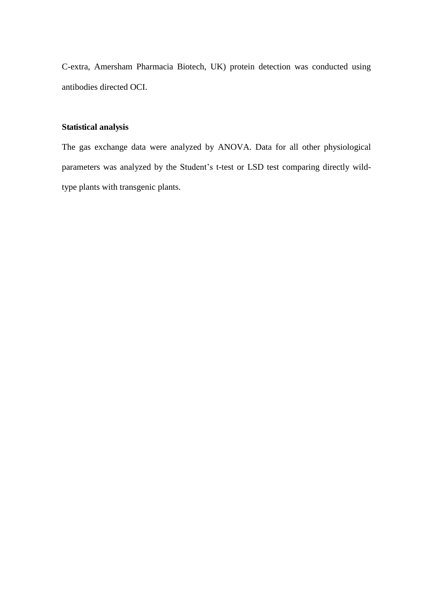C-extra, Amersham Pharmacia Biotech, UK) protein detection was conducted using antibodies directed OCI.

# **Statistical analysis**

The gas exchange data were analyzed by ANOVA. Data for all other physiological parameters was analyzed by the Student's t-test or LSD test comparing directly wildtype plants with transgenic plants.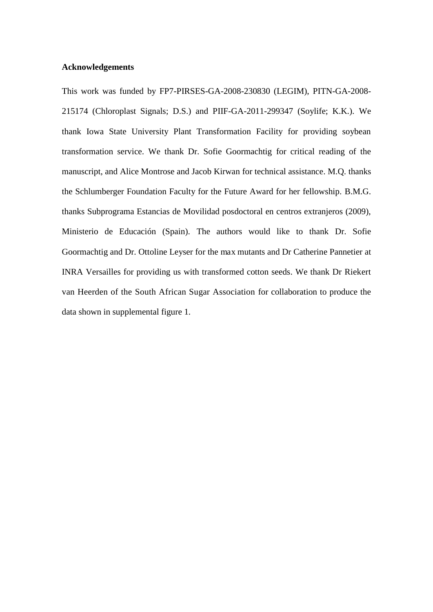# **Acknowledgements**

This work was funded by FP7-PIRSES-GA-2008-230830 (LEGIM), PITN-GA-2008- 215174 (Chloroplast Signals; D.S.) and PIIF-GA-2011-299347 (Soylife; K.K.). We thank Iowa State University Plant Transformation Facility for providing soybean transformation service. We thank Dr. Sofie Goormachtig for critical reading of the manuscript, and Alice Montrose and Jacob Kirwan for technical assistance. M.Q. thanks the Schlumberger Foundation Faculty for the Future Award for her fellowship. B.M.G. thanks Subprograma Estancias de Movilidad posdoctoral en centros extranjeros (2009), Ministerio de Educación (Spain). The authors would like to thank Dr. Sofie Goormachtig and Dr. Ottoline Leyser for the max mutants and Dr Catherine Pannetier at INRA Versailles for providing us with transformed cotton seeds. We thank Dr Riekert van Heerden of the South African Sugar Association for collaboration to produce the data shown in supplemental figure 1.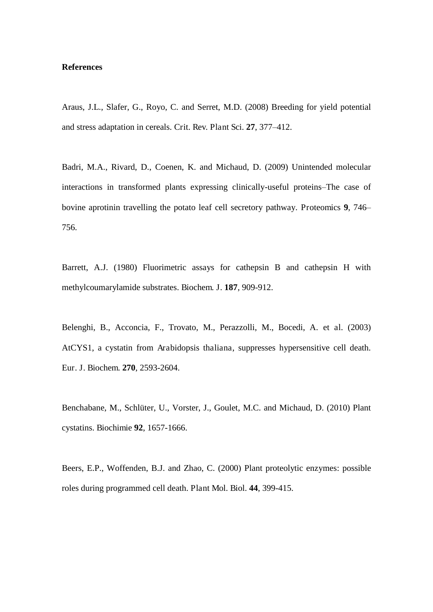#### **References**

Araus, J.L., Slafer, G., Royo, C. and Serret, M.D. (2008) Breeding for yield potential and stress adaptation in cereals. Crit. Rev. Plant Sci. **27**, 377–412.

Badri, M.A., Rivard, D., Coenen, K. and Michaud, D. (2009) Unintended molecular interactions in transformed plants expressing clinically-useful proteins–The case of bovine aprotinin travelling the potato leaf cell secretory pathway. Proteomics **9**, 746– 756.

Barrett, A.J. (1980) Fluorimetric assays for cathepsin B and cathepsin H with methylcoumarylamide substrates. Biochem. J. **187**, 909-912.

Belenghi, B., Acconcia, F., Trovato, M., Perazzolli, M., Bocedi, A. et al. (2003) AtCYS1, a cystatin from Arabidopsis thaliana, suppresses hypersensitive cell death. Eur. J. Biochem. **270**, 2593-2604.

Benchabane, M., Schlüter, U., Vorster, J., Goulet, M.C. and Michaud, D. (2010) Plant cystatins. Biochimie **92**, 1657-1666.

Beers, E.P., Woffenden, B.J. and Zhao, C. (2000) Plant proteolytic enzymes: possible roles during programmed cell death. Plant Mol. Biol. **44**, 399-415.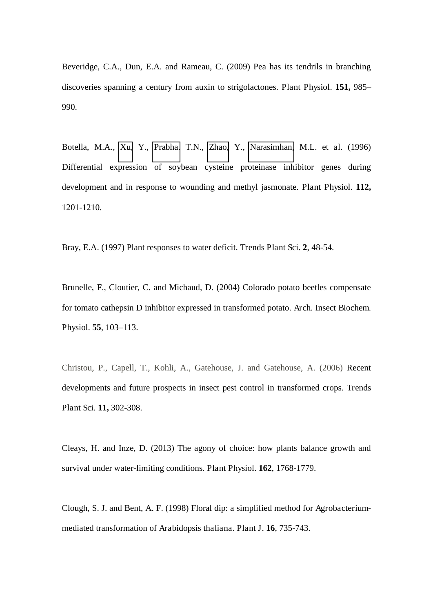Beveridge, C.A., Dun, E.A. and Rameau, C. (2009) Pea has its tendrils in branching discoveries spanning a century from auxin to strigolactones. Plant Physiol. **151,** 985– 990.

Botella, M.A., [Xu,](http://www.ncbi.nlm.nih.gov/pubmed/?term=Xu%20Y%5Bauth%5D) Y., [Prabha.](http://www.ncbi.nlm.nih.gov/pubmed/?term=Prabha%20TN%5Bauth%5D) T.N., [Zhao,](http://www.ncbi.nlm.nih.gov/pubmed/?term=Zhao%20Y%5Bauth%5D) Y., [Narasimhan,](http://www.ncbi.nlm.nih.gov/pubmed/?term=Narasimhan%20ML%5Bauth%5D) M.L. et al. (1996) Differential expression of soybean cysteine proteinase inhibitor genes during development and in response to wounding and methyl jasmonate. Plant Physiol. **112,** 1201-1210.

Bray, E.A. (1997) Plant responses to water deficit. Trends Plant Sci. **2**, 48-54.

Brunelle, F., Cloutier, C. and Michaud, D. (2004) Colorado potato beetles compensate for tomato cathepsin D inhibitor expressed in transformed potato. Arch. Insect Biochem. Physiol. **55**, 103–113.

Christou, P., Capell, T., Kohli, A., Gatehouse, J. and Gatehouse, A. (2006) Recent developments and future prospects in insect pest control in transformed crops. Trends Plant Sci. **11,** 302-308.

Cleays, H. and Inze, D. (2013) The agony of choice: how plants balance growth and survival under water-limiting conditions. Plant Physiol. **162**, 1768-1779.

Clough, S. J. and Bent, A. F. (1998) Floral dip: a simplified method for Agrobacteriummediated transformation of Arabidopsis thaliana. Plant J. **16**, 735-743.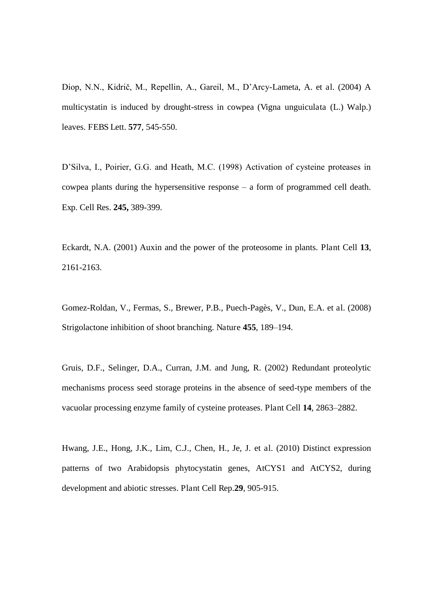Diop, N.N., Kidrič, M., Repellin, A., Gareil, M., D'Arcy-Lameta, A. et al. (2004) A multicystatin is induced by drought-stress in cowpea (Vigna unguiculata (L.) Walp.) leaves. FEBS Lett. **577**, 545-550.

D'Silva, I., Poirier, G.G. and Heath, M.C. (1998) Activation of cysteine proteases in cowpea plants during the hypersensitive response – a form of programmed cell death. Exp. Cell Res. **245,** 389-399.

Eckardt, N.A. (2001) Auxin and the power of the proteosome in plants. Plant Cell **13**, 2161-2163.

Gomez-Roldan, V., Fermas, S., Brewer, P.B., Puech-Pagès, V., Dun, E.A. et al. (2008) Strigolactone inhibition of shoot branching. Nature **455**, 189–194.

Gruis, D.F., Selinger, D.A., Curran, J.M. and Jung, R. (2002) Redundant proteolytic mechanisms process seed storage proteins in the absence of seed-type members of the vacuolar processing enzyme family of cysteine proteases. Plant Cell **14**, 2863–2882.

Hwang, J.E., Hong, J.K., Lim, C.J., Chen, H., Je, J. et al. (2010) Distinct expression patterns of two Arabidopsis phytocystatin genes, AtCYS1 and AtCYS2, during development and abiotic stresses. Plant Cell Rep.**29**, 905-915.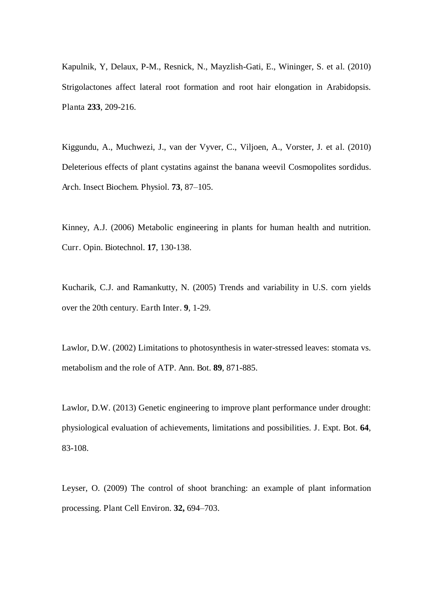Kapulnik, Y, Delaux, P-M., Resnick, N., Mayzlish-Gati, E., Wininger, S. et al. (2010) Strigolactones affect lateral root formation and root hair elongation in Arabidopsis. Planta **233**, 209-216.

Kiggundu, A., Muchwezi, J., van der Vyver, C., Viljoen, A., Vorster, J. et al. (2010) Deleterious effects of plant cystatins against the banana weevil Cosmopolites sordidus. Arch. Insect Biochem. Physiol. **73**, 87–105.

Kinney, A.J. (2006) Metabolic engineering in plants for human health and nutrition. Curr. Opin. Biotechnol. **17**, 130-138.

Kucharik, C.J. and Ramankutty, N. (2005) Trends and variability in U.S. corn yields over the 20th century. Earth Inter. **9**, 1-29.

Lawlor, D.W. (2002) Limitations to photosynthesis in water-stressed leaves: stomata vs. metabolism and the role of ATP. Ann. Bot. **89**, 871-885.

Lawlor, D.W. (2013) Genetic engineering to improve plant performance under drought: physiological evaluation of achievements, limitations and possibilities. J. Expt. Bot. **64**, 83-108.

Leyser, O. (2009) The control of shoot branching: an example of plant information processing. Plant Cell Environ. **32,** 694–703.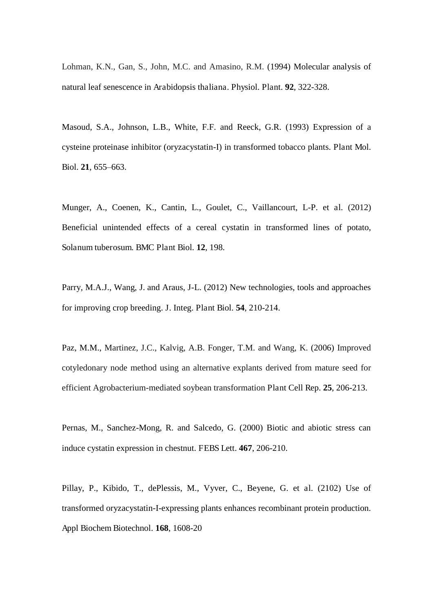Lohman, K.N., Gan, S., John, M.C. and Amasino, R.M. (1994) Molecular analysis of natural leaf senescence in Arabidopsis thaliana. Physiol. Plant. **92**, 322-328.

Masoud, S.A., Johnson, L.B., White, F.F. and Reeck, G.R. (1993) Expression of a cysteine proteinase inhibitor (oryzacystatin-I) in transformed tobacco plants. Plant Mol. Biol. **21**, 655–663.

Munger, A., Coenen, K., Cantin, L., Goulet, C., Vaillancourt, L-P. et al. (2012) Beneficial unintended effects of a cereal cystatin in transformed lines of potato, Solanum tuberosum. BMC Plant Biol. **12**, 198.

Parry, M.A.J., Wang, J. and Araus, J-L. (2012) New technologies, tools and approaches for improving crop breeding. J. Integ. Plant Biol. **54**, 210-214.

Paz, M.M., Martinez, J.C., Kalvig, A.B. Fonger, T.M. and Wang, K. (2006) Improved cotyledonary node method using an alternative explants derived from mature seed for efficient Agrobacterium-mediated soybean transformation Plant Cell Rep. **25**, 206-213.

Pernas, M., Sanchez-Mong, R. and Salcedo, G. (2000) Biotic and abiotic stress can induce cystatin expression in chestnut. FEBS Lett. **467**, 206-210.

Pillay, P., Kibido, T., dePlessis, M., Vyver, C., Beyene, G. et al. (2102) Use of transformed oryzacystatin-I-expressing plants enhances recombinant protein production. Appl Biochem Biotechnol. **168**, 1608-20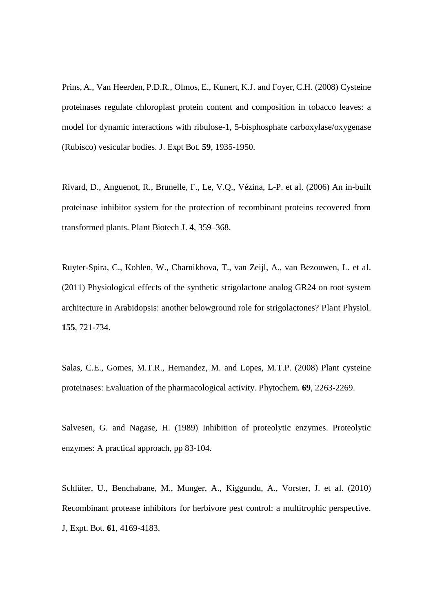Prins, A., Van Heerden, P.D.R., Olmos, E., Kunert, K.J. and Foyer, C.H. (2008) Cysteine proteinases regulate chloroplast protein content and composition in tobacco leaves: a model for dynamic interactions with ribulose-1, 5-bisphosphate carboxylase/oxygenase (Rubisco) vesicular bodies. J. Expt Bot. **59**, 1935-1950.

Rivard, D., Anguenot, R., Brunelle, F., Le, V.Q., Vézina, L-P. et al. (2006) An in-built proteinase inhibitor system for the protection of recombinant proteins recovered from transformed plants. Plant Biotech J. **4**, 359–368.

Ruyter-Spira, C., Kohlen, W., Charnikhova, T., van Zeijl, A., van Bezouwen, L. et al. (2011) Physiological effects of the synthetic strigolactone analog GR24 on root system architecture in Arabidopsis: another belowground role for strigolactones? Plant Physiol. **155**, 721-734.

Salas, C.E., Gomes, M.T.R., Hernandez, M. and Lopes, M.T.P. (2008) Plant cysteine proteinases: Evaluation of the pharmacological activity. Phytochem. **69**, 2263-2269.

Salvesen, G. and Nagase, H. (1989) Inhibition of proteolytic enzymes. Proteolytic enzymes: A practical approach, pp 83-104.

Schlüter, U., Benchabane, M., Munger, A., Kiggundu, A., Vorster, J. et al. (2010) Recombinant protease inhibitors for herbivore pest control: a multitrophic perspective. J, Expt. Bot. **61**, 4169-4183.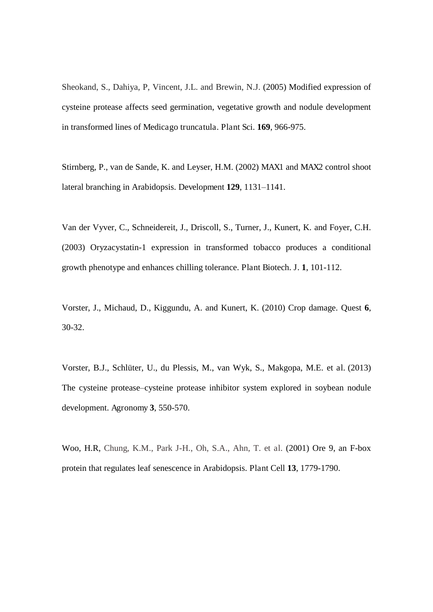Sheokand, S., Dahiya, P, Vincent, J.L. and Brewin, N.J. (2005) Modified expression of cysteine protease affects seed germination, vegetative growth and nodule development in transformed lines of Medicago truncatula. Plant Sci. **169**, 966-975.

Stirnberg, P., van de Sande, K. and Leyser, H.M. (2002) MAX1 and MAX2 control shoot lateral branching in Arabidopsis. Development **129**, 1131–1141.

Van der Vyver, C., Schneidereit, J., Driscoll, S., Turner, J., Kunert, K. and Foyer, C.H. (2003) Oryzacystatin-1 expression in transformed tobacco produces a conditional growth phenotype and enhances chilling tolerance. Plant Biotech. J. **1**, 101-112.

Vorster, J., Michaud, D., Kiggundu, A. and Kunert, K. (2010) Crop damage. Quest **6**, 30-32.

Vorster, B.J., Schlüter, U., du Plessis, M., van Wyk, S., Makgopa, M.E. et al. (2013) The cysteine protease–cysteine protease inhibitor system explored in soybean nodule development. Agronomy **3**, 550-570.

Woo, H.R, Chung, K.M., Park J-H., Oh, S.A., Ahn, T. et al. (2001) Ore 9, an F-box protein that regulates leaf senescence in Arabidopsis. Plant Cell **13**, 1779-1790.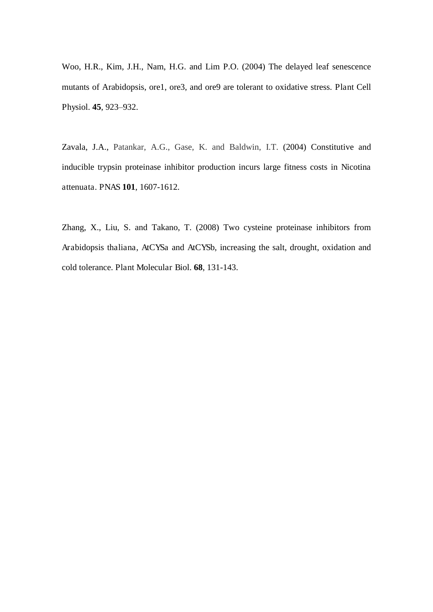Woo, H.R., Kim, J.H., Nam, H.G. and Lim P.O. (2004) The delayed leaf senescence mutants of Arabidopsis, ore1, ore3, and ore9 are tolerant to oxidative stress. Plant Cell Physiol. **45**, 923–932.

Zavala, J.A., Patankar, A.G., Gase, K. and Baldwin, I.T. (2004) Constitutive and inducible trypsin proteinase inhibitor production incurs large fitness costs in Nicotina attenuata. PNAS **101**, 1607-1612.

Zhang, X., Liu, S. and Takano, T. (2008) Two cysteine proteinase inhibitors from Arabidopsis thaliana, AtCYSa and AtCYSb, increasing the salt, drought, oxidation and cold tolerance. Plant Molecular Biol. **68**, 131-143.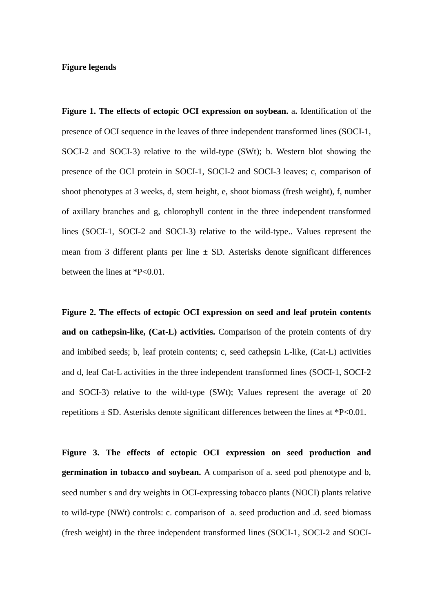# **Figure legends**

**Figure 1. The effects of ectopic OCI expression on soybean.** a**.** Identification of the presence of OCI sequence in the leaves of three independent transformed lines (SOCI-1, SOCI-2 and SOCI-3) relative to the wild-type (SWt); b. Western blot showing the presence of the OCI protein in SOCI-1, SOCI-2 and SOCI-3 leaves; c, comparison of shoot phenotypes at 3 weeks, d, stem height, e, shoot biomass (fresh weight), f, number of axillary branches and g, chlorophyll content in the three independent transformed lines (SOCI-1, SOCI-2 and SOCI-3) relative to the wild-type.. Values represent the mean from 3 different plants per line  $\pm$  SD. Asterisks denote significant differences between the lines at \*P<0.01.

**Figure 2. The effects of ectopic OCI expression on seed and leaf protein contents and on cathepsin-like, (Cat-L) activities.** Comparison of the protein contents of dry and imbibed seeds; b, leaf protein contents; c, seed cathepsin L-like, (Cat-L) activities and d, leaf Cat-L activities in the three independent transformed lines (SOCI-1, SOCI-2 and SOCI-3) relative to the wild-type (SWt); Values represent the average of 20 repetitions  $\pm$  SD. Asterisks denote significant differences between the lines at \*P<0.01.

**Figure 3. The effects of ectopic OCI expression on seed production and germination in tobacco and soybean.** A comparison of a. seed pod phenotype and b, seed number s and dry weights in OCI-expressing tobacco plants (NOCI) plants relative to wild-type (NWt) controls: c. comparison of a. seed production and .d. seed biomass (fresh weight) in the three independent transformed lines (SOCI-1, SOCI-2 and SOCI-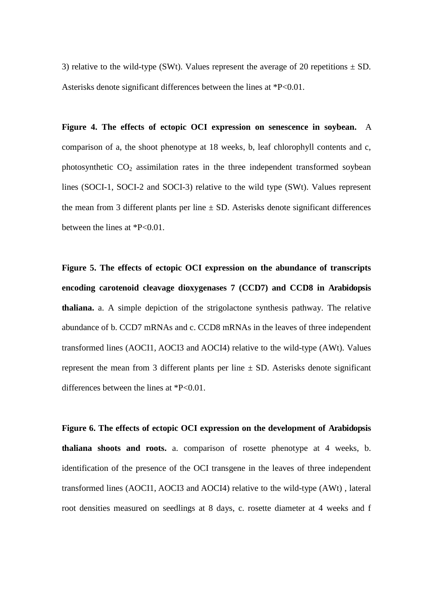3) relative to the wild-type (SWt). Values represent the average of 20 repetitions  $\pm$  SD. Asterisks denote significant differences between the lines at \*P<0.01.

**Figure 4. The effects of ectopic OCI expression on senescence in soybean.** A comparison of a, the shoot phenotype at 18 weeks, b, leaf chlorophyll contents and c, photosynthetic  $CO<sub>2</sub>$  assimilation rates in the three independent transformed soybean lines (SOCI-1, SOCI-2 and SOCI-3) relative to the wild type (SWt). Values represent the mean from 3 different plants per line  $\pm$  SD. Asterisks denote significant differences between the lines at \*P<0.01.

**Figure 5. The effects of ectopic OCI expression on the abundance of transcripts encoding carotenoid cleavage dioxygenases 7 (CCD7) and CCD8 in Arabidopsis thaliana.** a. A simple depiction of the strigolactone synthesis pathway. The relative abundance of b. CCD7 mRNAs and c. CCD8 mRNAs in the leaves of three independent transformed lines (AOCI1, AOCI3 and AOCI4) relative to the wild-type (AWt). Values represent the mean from 3 different plants per line  $\pm$  SD. Asterisks denote significant differences between the lines at \*P<0.01.

**Figure 6. The effects of ectopic OCI expression on the development of Arabidopsis thaliana shoots and roots.** a. comparison of rosette phenotype at 4 weeks, b. identification of the presence of the OCI transgene in the leaves of three independent transformed lines (AOCI1, AOCI3 and AOCI4) relative to the wild-type (AWt) , lateral root densities measured on seedlings at 8 days, c. rosette diameter at 4 weeks and f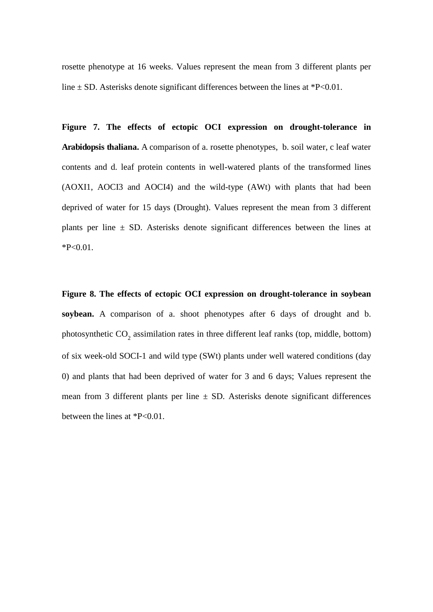rosette phenotype at 16 weeks. Values represent the mean from 3 different plants per line  $\pm$  SD. Asterisks denote significant differences between the lines at \*P<0.01.

**Figure 7. The effects of ectopic OCI expression on drought-tolerance in Arabidopsis thaliana.** A comparison of a. rosette phenotypes, b. soil water, c leaf water contents and d. leaf protein contents in well-watered plants of the transformed lines (AOXI1, AOCI3 and AOCI4) and the wild-type (AWt) with plants that had been deprived of water for 15 days (Drought). Values represent the mean from 3 different plants per line  $\pm$  SD. Asterisks denote significant differences between the lines at  $*P<0.01$ .

**Figure 8. The effects of ectopic OCI expression on drought-tolerance in soybean soybean.** A comparison of a. shoot phenotypes after 6 days of drought and b. photosynthetic  $CO_2$  assimilation rates in three different leaf ranks (top, middle, bottom) of six week-old SOCI-1 and wild type (SWt) plants under well watered conditions (day 0) and plants that had been deprived of water for 3 and 6 days; Values represent the mean from 3 different plants per line  $\pm$  SD. Asterisks denote significant differences between the lines at \*P<0.01.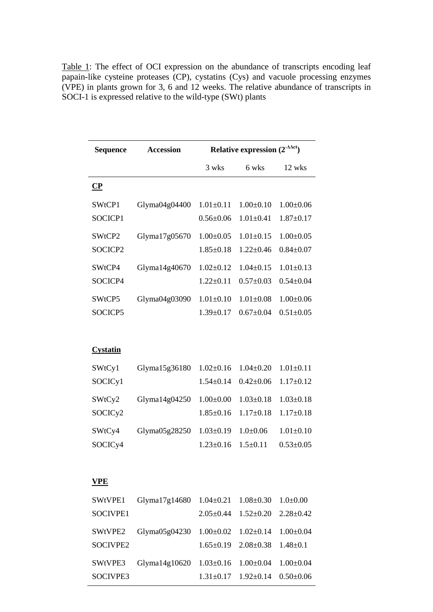| <b>Sequence</b>          | <b>Accession</b> | Relative expression $(2^{-\Delta \Delta ct})$ |                 |                 |
|--------------------------|------------------|-----------------------------------------------|-----------------|-----------------|
|                          |                  | 3 wks                                         | 6 wks           | 12 wks          |
| $\overline{\mathbf{CP}}$ |                  |                                               |                 |                 |
| SWtCP1                   | Glyma04g04400    | $1.01 \pm 0.11$                               | $1.00 \pm 0.10$ | $1.00 \pm 0.06$ |
| SOCICP1                  |                  | $0.56 \pm 0.06$                               | $1.01 \pm 0.41$ | $1.87 \pm 0.17$ |
| SWtCP2                   | Glyma17g05670    | $1.00 \pm 0.05$                               | $1.01 \pm 0.15$ | $1.00 + 0.05$   |
| SOCICP2                  |                  | $1.85 \pm 0.18$                               | $1.22 \pm 0.46$ | $0.84 \pm 0.07$ |
| SWtCP4                   | Glyma14g40670    | $1.02 \pm 0.12$                               | $1.04 \pm 0.15$ | $1.01 \pm 0.13$ |
| SOCICP4                  |                  | $1.22 \pm 0.11$                               | $0.57 \pm 0.03$ | $0.54 \pm 0.04$ |
| SWtCP5                   | Glyma04g03090    | $1.01 \pm 0.10$                               | $1.01 \pm 0.08$ | $1.00 \pm 0.06$ |
| SOCICP5                  |                  | $1.39 \pm 0.17$                               | $0.67 \pm 0.04$ | $0.51 \pm 0.05$ |
|                          |                  |                                               |                 |                 |
| <b>Cystatin</b>          |                  |                                               |                 |                 |
| SWtCy1                   | Glyma15g36180    | $1.02 \pm 0.16$                               | $1.04 \pm 0.20$ | $1.01 \pm 0.11$ |
| SOCICy1                  |                  | $1.54 \pm 0.14$                               | $0.42 \pm 0.06$ | $1.17 \pm 0.12$ |
| SWtCy2                   | Glyma14g04250    | $1.00 \pm 0.00$                               | $1.03 \pm 0.18$ | $1.03 \pm 0.18$ |
| SOCICy2                  |                  | $1.85 \pm 0.16$                               | $1.17 \pm 0.18$ | $1.17 \pm 0.18$ |
| SWtCy4                   | Glyma05g28250    | $1.03 \pm 0.19$                               | $1.0 + 0.06$    | $1.01 \pm 0.10$ |
| SOCICy4                  |                  | $1.23 \pm 0.16$                               | $1.5 \pm 0.11$  | $0.53 \pm 0.05$ |
|                          |                  |                                               |                 |                 |
| <b>VPE</b>               |                  |                                               |                 |                 |
| SWtVPE1                  | Glyma $17g14680$ | $1.04 \pm 0.21$                               | $1.08 \pm 0.30$ | $1.0 + 0.00$    |
| SOCIVPE1                 |                  | $2.05 \pm 0.44$                               | $1.52 \pm 0.20$ | $2.28 \pm 0.42$ |
| SWtVPE2                  | Glyma05g04230    | $1.00 \pm 0.02$                               | $1.02 \pm 0.14$ | $1.00 \pm 0.04$ |
| SOCIVPE2                 |                  | $1.65 \pm 0.19$                               | $2.08 \pm 0.38$ | $1.48 + 0.1$    |

Glyma14g10620 1.03±0.16 1.00±0.04 1.00±0.04

1.31±0.17 1.92±0.14 0.50±0.06

SWtVPE3 SOCIVPE3

Table 1: The effect of OCI expression on the abundance of transcripts encoding leaf papain-like cysteine proteases (CP), cystatins (Cys) and vacuole processing enzymes (VPE) in plants grown for 3, 6 and 12 weeks. The relative abundance of transcripts in SOCI-1 is expressed relative to the wild-type (SWt) plants